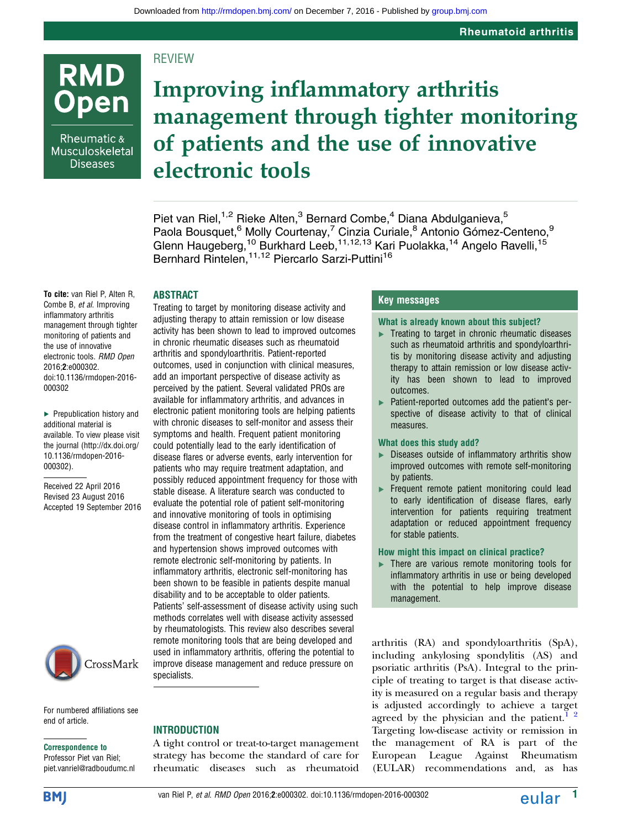# **REVIEW**

Rheumatic  $\&$ Musculoskeletal **Diseases** 

**RMD** 

**Open** 

# Improving inflammatory arthritis management through tighter monitoring of patients and the use of innovative electronic tools

Piet van Riel,<sup>1,2</sup> Rieke Alten,<sup>3</sup> Bernard Combe,<sup>4</sup> Diana Abdulganieva,<sup>5</sup> Paola Bousquet,<sup>6</sup> Molly Courtenay,<sup>7</sup> Cinzia Curiale,<sup>8</sup> Antonio Gómez-Centeno,<sup>9</sup> Glenn Haugeberg,<sup>10</sup> Burkhard Leeb,<sup>11,12,13</sup> Kari Puolakka,<sup>14</sup> Angelo Ravelli,<sup>15</sup> Bernhard Rintelen,<sup>11,12</sup> Piercarlo Sarzi-Puttini<sup>16</sup>

## ABSTRACT

To cite: van Riel P, Alten R, Combe B, et al. Improving inflammatory arthritis management through tighter monitoring of patients and the use of innovative electronic tools. RMD Open 2016;2:e000302. doi:10.1136/rmdopen-2016- 000302

▶ Prepublication history and additional material is available. To view please visit the journal [\(http://dx.doi.org/](http://dx.doi.org/10.1136/rmdopen-2016-000302) [10.1136/rmdopen-2016-](http://dx.doi.org/10.1136/rmdopen-2016-000302) [000302\)](http://dx.doi.org/10.1136/rmdopen-2016-000302).

Received 22 April 2016 Revised 23 August 2016 Accepted 19 September 2016



For numbered affiliations see end of article.

#### Correspondence to

Professor Piet van Riel; piet.vanriel@radboudumc.nl Treating to target by monitoring disease activity and adjusting therapy to attain remission or low disease activity has been shown to lead to improved outcomes in chronic rheumatic diseases such as rheumatoid arthritis and spondyloarthritis. Patient-reported outcomes, used in conjunction with clinical measures, add an important perspective of disease activity as perceived by the patient. Several validated PROs are available for inflammatory arthritis, and advances in electronic patient monitoring tools are helping patients with chronic diseases to self-monitor and assess their symptoms and health. Frequent patient monitoring could potentially lead to the early identification of disease flares or adverse events, early intervention for patients who may require treatment adaptation, and possibly reduced appointment frequency for those with stable disease. A literature search was conducted to evaluate the potential role of patient self-monitoring and innovative monitoring of tools in optimising disease control in inflammatory arthritis. Experience from the treatment of congestive heart failure, diabetes and hypertension shows improved outcomes with remote electronic self-monitoring by patients. In inflammatory arthritis, electronic self-monitoring has been shown to be feasible in patients despite manual disability and to be acceptable to older patients. Patients' self-assessment of disease activity using such methods correlates well with disease activity assessed by rheumatologists. This review also describes several remote monitoring tools that are being developed and used in inflammatory arthritis, offering the potential to improve disease management and reduce pressure on specialists.

## Key messages

#### What is already known about this subject?

- $\blacktriangleright$  Treating to target in chronic rheumatic diseases such as rheumatoid arthritis and spondyloarthritis by monitoring disease activity and adjusting therapy to attain remission or low disease activity has been shown to lead to improved outcomes.
- ▸ Patient-reported outcomes add the patient's perspective of disease activity to that of clinical measures.

### What does this study add?

- ▸ Diseases outside of inflammatory arthritis show improved outcomes with remote self-monitoring by patients.
- ▶ Frequent remote patient monitoring could lead to early identification of disease flares, early intervention for patients requiring treatment adaptation or reduced appointment frequency for stable patients.

### How might this impact on clinical practice?

▸ There are various remote monitoring tools for inflammatory arthritis in use or being developed with the potential to help improve disease management.

arthritis (RA) and spondyloarthritis (SpA), including ankylosing spondylitis (AS) and psoriatic arthritis (PsA). Integral to the principle of treating to target is that disease activity is measured on a regular basis and therapy is adjusted accordingly to achieve a target agreed by the physician and the patient.<sup>1</sup> <sup>2</sup> Targeting low-disease activity or remission in the management of RA is part of the European League Against Rheumatism (EULAR) recommendations and, as has

van Riel P, *et al. RMD Open* 2016;2:e000302. doi:10.1136/rmdopen-2016-000302 **12 in the engage of the engage of the engage of the engage of the engage of the engage of the engage of the engage of the engage of the engage** 

A tight control or treat-to-target management strategy has become the standard of care for rheumatic diseases such as rheumatoid

**INTRODUCTION** 

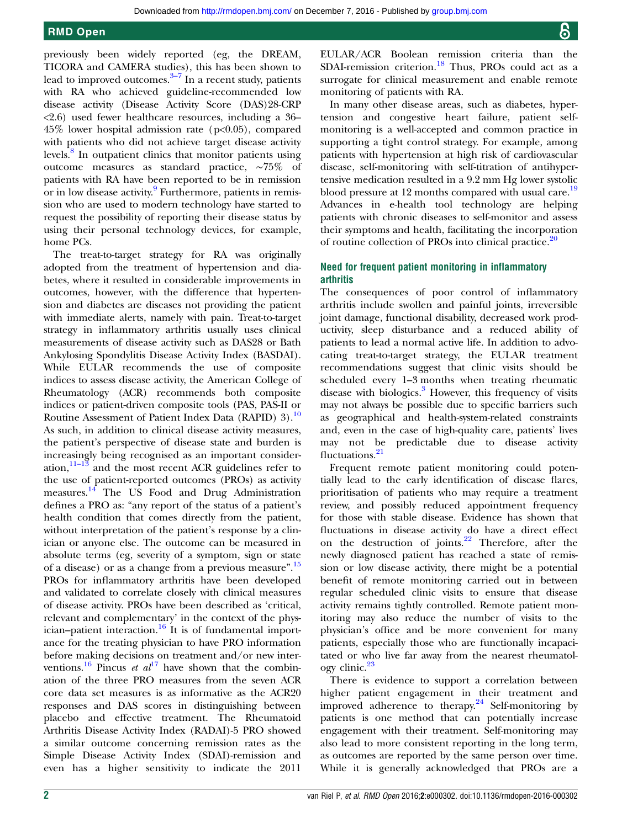previously been widely reported (eg, the DREAM, TICORA and CAMERA studies), this has been shown to lead to improved outcomes. $3-7$  $3-7$  In a recent study, patients with RA who achieved guideline-recommended low disease activity (Disease Activity Score (DAS)28-CRP <2.6) used fewer healthcare resources, including a 36– 45% lower hospital admission rate (p<0.05), compared with patients who did not achieve target disease activity levels.<sup>8</sup> In outpatient clinics that monitor patients using outcome measures as standard practice, ∼75% of patients with RA have been reported to be in remission or in low disease activity.<sup>[9](#page-7-0)</sup> Furthermore, patients in remission who are used to modern technology have started to request the possibility of reporting their disease status by using their personal technology devices, for example, home PCs.

The treat-to-target strategy for RA was originally adopted from the treatment of hypertension and diabetes, where it resulted in considerable improvements in outcomes, however, with the difference that hypertension and diabetes are diseases not providing the patient with immediate alerts, namely with pain. Treat-to-target strategy in inflammatory arthritis usually uses clinical measurements of disease activity such as DAS28 or Bath Ankylosing Spondylitis Disease Activity Index (BASDAI). While EULAR recommends the use of composite indices to assess disease activity, the American College of Rheumatology (ACR) recommends both composite indices or patient-driven composite tools (PAS, PAS-II or Routine Assessment of Patient Index Data (RAPID) 3).[10](#page-7-0) As such, in addition to clinical disease activity measures, the patient's perspective of disease state and burden is increasingly being recognised as an important consideration, $11-13$  $11-13$  and the most recent ACR guidelines refer to the use of patient-reported outcomes (PROs) as activity measures.<sup>[14](#page-7-0)</sup> The US Food and Drug Administration defines a PRO as: "any report of the status of a patient's health condition that comes directly from the patient, without interpretation of the patient's response by a clinician or anyone else. The outcome can be measured in absolute terms (eg, severity of a symptom, sign or state of a disease) or as a change from a previous measure".<sup>[15](#page-7-0)</sup> PROs for inflammatory arthritis have been developed and validated to correlate closely with clinical measures of disease activity. PROs have been described as 'critical, relevant and complementary' in the context of the phys-ician–patient interaction.<sup>[16](#page-7-0)</sup> It is of fundamental importance for the treating physician to have PRO information before making decisions on treatment and/or new interventions.<sup>16</sup> Pincus *et al*<sup>[17](#page-7-0)</sup> have shown that the combination of the three PRO measures from the seven ACR core data set measures is as informative as the ACR20 responses and DAS scores in distinguishing between placebo and effective treatment. The Rheumatoid Arthritis Disease Activity Index (RADAI)-5 PRO showed a similar outcome concerning remission rates as the Simple Disease Activity Index (SDAI)-remission and even has a higher sensitivity to indicate the 2011

EULAR/ACR Boolean remission criteria than the SDAI-remission criterion.<sup>[18](#page-7-0)</sup> Thus, PROs could act as a surrogate for clinical measurement and enable remote monitoring of patients with RA.

In many other disease areas, such as diabetes, hypertension and congestive heart failure, patient selfmonitoring is a well-accepted and common practice in supporting a tight control strategy. For example, among patients with hypertension at high risk of cardiovascular disease, self-monitoring with self-titration of antihypertensive medication resulted in a 9.2 mm Hg lower systolic blood pressure at 12 months compared with usual care.<sup>[19](#page-7-0)</sup> Advances in e-health tool technology are helping patients with chronic diseases to self-monitor and assess their symptoms and health, facilitating the incorporation of routine collection of PROs into clinical practice.<sup>[20](#page-7-0)</sup>

## Need for frequent patient monitoring in inflammatory arthritis

The consequences of poor control of inflammatory arthritis include swollen and painful joints, irreversible joint damage, functional disability, decreased work productivity, sleep disturbance and a reduced ability of patients to lead a normal active life. In addition to advocating treat-to-target strategy, the EULAR treatment recommendations suggest that clinic visits should be scheduled every 1–3 months when treating rheumatic disease with biologics.<sup>[3](#page-7-0)</sup> However, this frequency of visits may not always be possible due to specific barriers such as geographical and health-system-related constraints and, even in the case of high-quality care, patients' lives may not be predictable due to disease activity fluctuations.<sup>[21](#page-7-0)</sup>

Frequent remote patient monitoring could potentially lead to the early identification of disease flares, prioritisation of patients who may require a treatment review, and possibly reduced appointment frequency for those with stable disease. Evidence has shown that fluctuations in disease activity do have a direct effect on the destruction of joints.[22](#page-7-0) Therefore, after the newly diagnosed patient has reached a state of remission or low disease activity, there might be a potential benefit of remote monitoring carried out in between regular scheduled clinic visits to ensure that disease activity remains tightly controlled. Remote patient monitoring may also reduce the number of visits to the physician's office and be more convenient for many patients, especially those who are functionally incapacitated or who live far away from the nearest rheumatology clinic.[23](#page-7-0)

There is evidence to support a correlation between higher patient engagement in their treatment and improved adherence to therapy. $24$  Self-monitoring by patients is one method that can potentially increase engagement with their treatment. Self-monitoring may also lead to more consistent reporting in the long term, as outcomes are reported by the same person over time. While it is generally acknowledged that PROs are a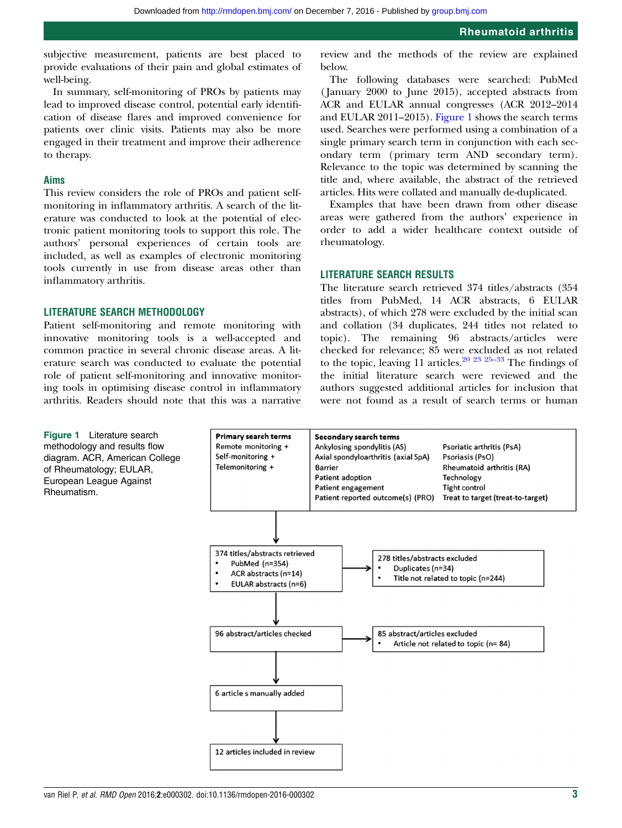<span id="page-2-0"></span>subjective measurement, patients are best placed to provide evaluations of their pain and global estimates of well-being.

In summary, self-monitoring of PROs by patients may lead to improved disease control, potential early identification of disease flares and improved convenience for patients over clinic visits. Patients may also be more engaged in their treatment and improve their adherence to therapy.

#### Aims

This review considers the role of PROs and patient selfmonitoring in inflammatory arthritis. A search of the literature was conducted to look at the potential of electronic patient monitoring tools to support this role. The authors' personal experiences of certain tools are included, as well as examples of electronic monitoring tools currently in use from disease areas other than inflammatory arthritis.

## LITERATURE SEARCH METHODOLOGY

Patient self-monitoring and remote monitoring with innovative monitoring tools is a well-accepted and common practice in several chronic disease areas. A literature search was conducted to evaluate the potential role of patient self-monitoring and innovative monitoring tools in optimising disease control in inflammatory arthritis. Readers should note that this was a narrative

review and the methods of the review are explained below.

The following databases were searched: PubMed ( January 2000 to June 2015), accepted abstracts from ACR and EULAR annual congresses (ACR 2012–2014 and EULAR 2011–2015). Figure 1 shows the search terms used. Searches were performed using a combination of a single primary search term in conjunction with each secondary term (primary term AND secondary term). Relevance to the topic was determined by scanning the title and, where available, the abstract of the retrieved articles. Hits were collated and manually de-duplicated.

Examples that have been drawn from other disease areas were gathered from the authors' experience in order to add a wider healthcare context outside of rheumatology.

#### LITERATURE SEARCH RESULTS

The literature search retrieved 374 titles/abstracts (354 titles from PubMed, 14 ACR abstracts, 6 EULAR abstracts), of which 278 were excluded by the initial scan and collation (34 duplicates, 244 titles not related to topic). The remaining 96 abstracts/articles were checked for relevance; 85 were exc[luded](#page-8-0) as not related to the topic, leaving 11 articles. $20\ 23\ 25-33$  The findings of the initial literature search were reviewed and the authors suggested additional articles for inclusion that were not found as a result of search terms or human

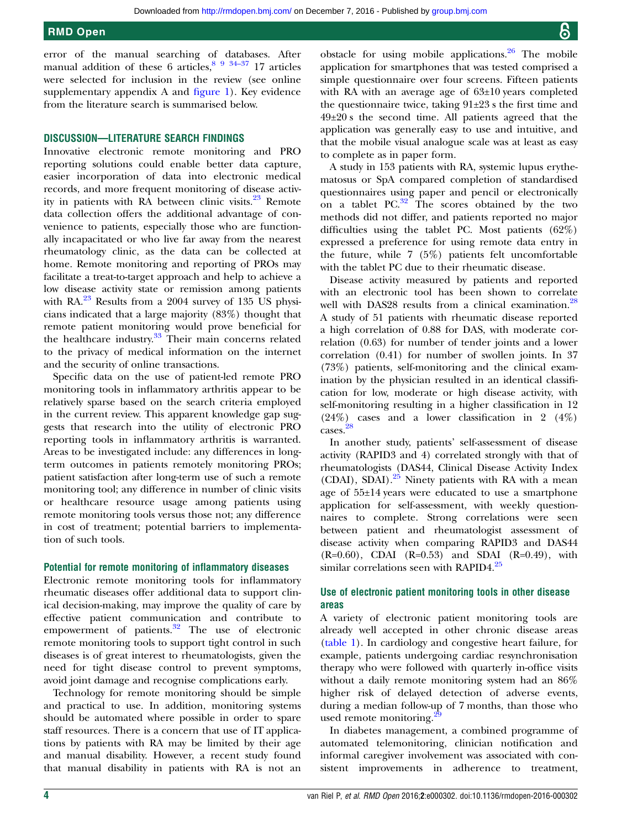error of the manual searching of databases. After manual addition of these 6 articles,  $\frac{89,34-37}{9}$  $\frac{89,34-37}{9}$  $\frac{89,34-37}{9}$  17 articles were selected for inclusion in the review (see online [supplementary appendix A](http://dx.doi.org/10.1136/rmdopen-2016-000302) and fi[gure 1](#page-2-0)). Key evidence from the literature search is summarised below.

## DISCUSSION—LITERATURE SEARCH FINDINGS

Innovative electronic remote monitoring and PRO reporting solutions could enable better data capture, easier incorporation of data into electronic medical records, and more frequent monitoring of disease activity in patients with RA between clinic visits. $23$  Remote data collection offers the additional advantage of convenience to patients, especially those who are functionally incapacitated or who live far away from the nearest rheumatology clinic, as the data can be collected at home. Remote monitoring and reporting of PROs may facilitate a treat-to-target approach and help to achieve a low disease activity state or remission among patients with  $RA.^{23}$  $RA.^{23}$  $RA.^{23}$  Results from a 2004 survey of 135 US physicians indicated that a large majority (83%) thought that remote patient monitoring would prove beneficial for the healthcare industry.<sup>33</sup> Their main concerns related to the privacy of medical information on the internet and the security of online transactions.

Specific data on the use of patient-led remote PRO monitoring tools in inflammatory arthritis appear to be relatively sparse based on the search criteria employed in the current review. This apparent knowledge gap suggests that research into the utility of electronic PRO reporting tools in inflammatory arthritis is warranted. Areas to be investigated include: any differences in longterm outcomes in patients remotely monitoring PROs; patient satisfaction after long-term use of such a remote monitoring tool; any difference in number of clinic visits or healthcare resource usage among patients using remote monitoring tools versus those not; any difference in cost of treatment; potential barriers to implementation of such tools.

#### Potential for remote monitoring of inflammatory diseases

Electronic remote monitoring tools for inflammatory rheumatic diseases offer additional data to support clinical decision-making, may improve the quality of care by effective patient communication and contribute to empowerment of patients.<sup>[32](#page-8-0)</sup> The use of electronic remote monitoring tools to support tight control in such diseases is of great interest to rheumatologists, given the need for tight disease control to prevent symptoms, avoid joint damage and recognise complications early.

Technology for remote monitoring should be simple and practical to use. In addition, monitoring systems should be automated where possible in order to spare staff resources. There is a concern that use of IT applications by patients with RA may be limited by their age and manual disability. However, a recent study found that manual disability in patients with RA is not an

obstacle for using mobile applications. $26$  The mobile application for smartphones that was tested comprised a simple questionnaire over four screens. Fifteen patients with RA with an average age of 63±10 years completed the questionnaire twice, taking 91±23 s the first time and 49±20 s the second time. All patients agreed that the application was generally easy to use and intuitive, and that the mobile visual analogue scale was at least as easy to complete as in paper form.

A study in 153 patients with RA, systemic lupus erythematosus or SpA compared completion of standardised questionnaires using paper and pencil or electronically on a tablet  $PC.^{32}$  $PC.^{32}$  $PC.^{32}$  The scores obtained by the two methods did not differ, and patients reported no major difficulties using the tablet PC. Most patients (62%) expressed a preference for using remote data entry in the future, while 7 (5%) patients felt uncomfortable with the tablet PC due to their rheumatic disease.

Disease activity measured by patients and reported with an electronic tool has been shown to correlate well with DAS[28](#page-8-0) results from a clinical examination.<sup>28</sup> A study of 51 patients with rheumatic disease reported a high correlation of 0.88 for DAS, with moderate correlation (0.63) for number of tender joints and a lower correlation (0.41) for number of swollen joints. In 37 (73%) patients, self-monitoring and the clinical examination by the physician resulted in an identical classification for low, moderate or high disease activity, with self-monitoring resulting in a higher classification in 12 (24%) cases and a lower classification in 2 (4%) cases.[28](#page-8-0)

In another study, patients' self-assessment of disease activity (RAPID3 and 4) correlated strongly with that of rheumatologists (DAS44, Clinical Disease Activity Index (CDAI), SDAI).<sup>[25](#page-8-0)</sup> Ninety patients with RA with a mean age of 55±14 years were educated to use a smartphone application for self-assessment, with weekly questionnaires to complete. Strong correlations were seen between patient and rheumatologist assessment of disease activity when comparing RAPID3 and DAS44  $(R=0.60)$ , CDAI  $(R=0.53)$  and SDAI  $(R=0.49)$ , with similar correlations seen with RAPID4. $25$ 

## Use of electronic patient monitoring tools in other disease areas

A variety of electronic patient monitoring tools are already well accepted in other chronic disease areas [\(table 1](#page-4-0)). In cardiology and congestive heart failure, for example, patients undergoing cardiac resynchronisation therapy who were followed with quarterly in-office visits without a daily remote monitoring system had an 86% higher risk of delayed detection of adverse events, during a median follow-up of 7 months, than those who used remote monitoring.<sup>2</sup>

In diabetes management, a combined programme of automated telemonitoring, clinician notification and informal caregiver involvement was associated with consistent improvements in adherence to treatment,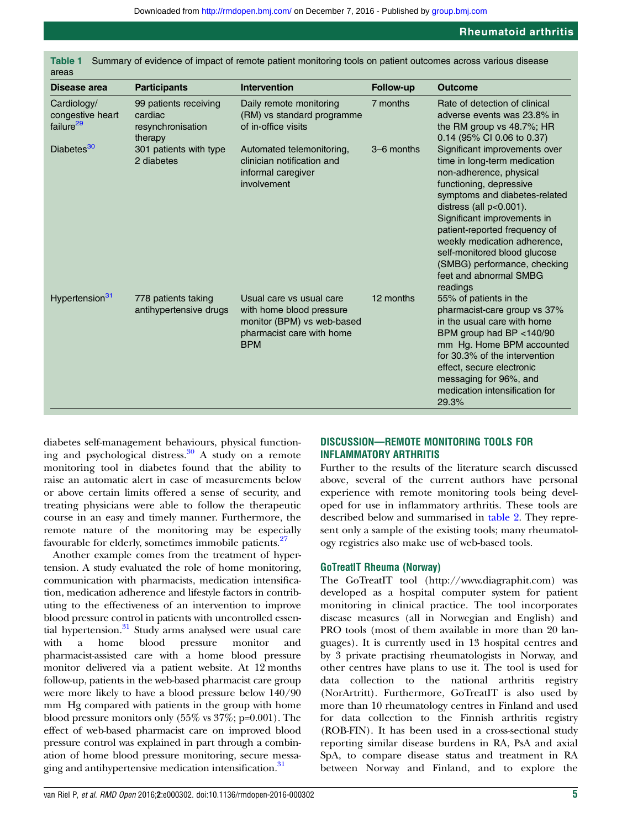| Disease area                                             | <b>Participants</b>                                              | <b>Intervention</b>                                                                                                           | Follow-up  | <b>Outcome</b>                                                                                                                                                                                                                                                                                                                                                                        |
|----------------------------------------------------------|------------------------------------------------------------------|-------------------------------------------------------------------------------------------------------------------------------|------------|---------------------------------------------------------------------------------------------------------------------------------------------------------------------------------------------------------------------------------------------------------------------------------------------------------------------------------------------------------------------------------------|
| Cardiology/<br>congestive heart<br>failure <sup>29</sup> | 99 patients receiving<br>cardiac<br>resynchronisation<br>therapy | Daily remote monitoring<br>(RM) vs standard programme<br>of in-office visits                                                  | 7 months   | Rate of detection of clinical<br>adverse events was 23.8% in<br>the RM group vs $48.7\%$ ; HR<br>0.14 (95% CI 0.06 to 0.37)                                                                                                                                                                                                                                                           |
| Diabetes <sup>30</sup>                                   | 301 patients with type<br>2 diabetes                             | Automated telemonitoring,<br>clinician notification and<br>informal caregiver<br>involvement                                  | 3-6 months | Significant improvements over<br>time in long-term medication<br>non-adherence, physical<br>functioning, depressive<br>symptoms and diabetes-related<br>distress (all p<0.001).<br>Significant improvements in<br>patient-reported frequency of<br>weekly medication adherence,<br>self-monitored blood glucose<br>(SMBG) performance, checking<br>feet and abnormal SMBG<br>readings |
| Hypertension <sup>31</sup>                               | 778 patients taking<br>antihypertensive drugs                    | Usual care vs usual care<br>with home blood pressure<br>monitor (BPM) vs web-based<br>pharmacist care with home<br><b>BPM</b> | 12 months  | 55% of patients in the<br>pharmacist-care group vs 37%<br>in the usual care with home<br>BPM group had BP <140/90<br>mm Hg. Home BPM accounted<br>for 30.3% of the intervention<br>effect, secure electronic<br>messaging for 96%, and<br>medication intensification for<br>29.3%                                                                                                     |

<span id="page-4-0"></span>Table 1 Summary of evidence of impact of remote patient monitoring tools on patient outcomes across various disease

diabetes self-management behaviours, physical function-ing and psychological distress.<sup>[30](#page-8-0)</sup> A study on a remote monitoring tool in diabetes found that the ability to raise an automatic alert in case of measurements below or above certain limits offered a sense of security, and treating physicians were able to follow the therapeutic course in an easy and timely manner. Furthermore, the remote nature of the monitoring may be especially favourable for elderly, sometimes immobile patients.<sup>[27](#page-8-0)</sup>

Another example comes from the treatment of hypertension. A study evaluated the role of home monitoring, communication with pharmacists, medication intensification, medication adherence and lifestyle factors in contributing to the effectiveness of an intervention to improve blood pressure control in patients with uncontrolled essential hypertension.<sup>31</sup> Study arms analysed were usual care with a home blood pressure monitor and pharmacist-assisted care with a home blood pressure monitor delivered via a patient website. At 12 months follow-up, patients in the web-based pharmacist care group were more likely to have a blood pressure below 140/90 mm Hg compared with patients in the group with home blood pressure monitors only (55% vs 37%; p=0.001). The effect of web-based pharmacist care on improved blood pressure control was explained in part through a combination of home blood pressure monitoring, secure messaging and antihypertensive medication intensification.<sup>31</sup>

## DISCUSSION—REMOTE MONITORING TOOLS FOR INFLAMMATORY ARTHRITIS

Further to the results of the literature search discussed above, several of the current authors have personal experience with remote monitoring tools being developed for use in inflammatory arthritis. These tools are described below and summarised in [table 2](#page-5-0). They represent only a sample of the existing tools; many rheumatology registries also make use of web-based tools.

## GoTreatIT Rheuma (Norway)

The GoTreatIT tool ([http://www.diagraphit.com\)](http://www.diagraphit.com) was developed as a hospital computer system for patient monitoring in clinical practice. The tool incorporates disease measures (all in Norwegian and English) and PRO tools (most of them available in more than 20 languages). It is currently used in 13 hospital centres and by 3 private practising rheumatologists in Norway, and other centres have plans to use it. The tool is used for data collection to the national arthritis registry (NorArtritt). Furthermore, GoTreatIT is also used by more than 10 rheumatology centres in Finland and used for data collection to the Finnish arthritis registry (ROB-FIN). It has been used in a cross-sectional study reporting similar disease burdens in RA, PsA and axial SpA, to compare disease status and treatment in RA between Norway and Finland, and to explore the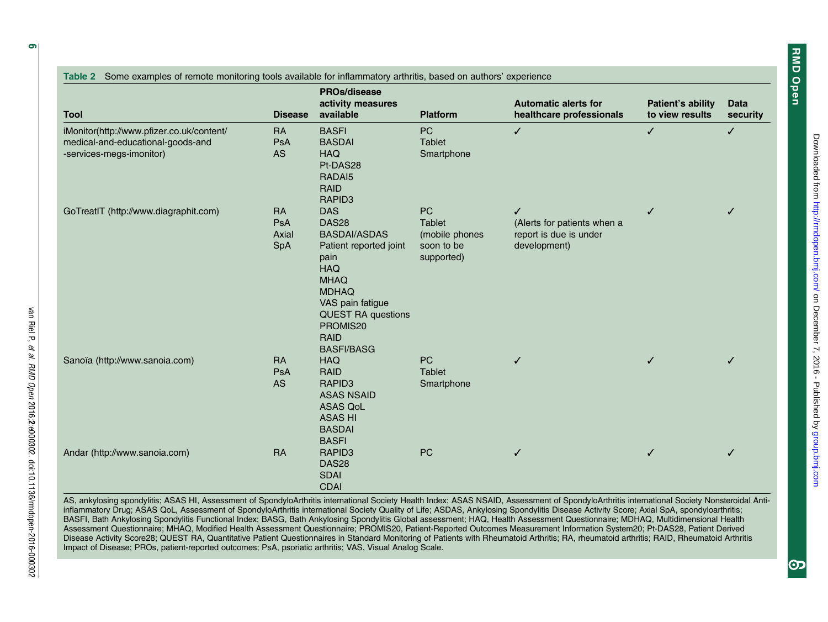<span id="page-5-0"></span>

|                                           | <b>Disease</b> | <b>PROs/disease</b><br>activity measures<br>available | <b>Platform</b> | <b>Automatic alerts for</b> | <b>Patient's ability</b><br>to view results | <b>Data</b><br>security |
|-------------------------------------------|----------------|-------------------------------------------------------|-----------------|-----------------------------|---------------------------------------------|-------------------------|
| <b>Tool</b>                               |                |                                                       |                 | healthcare professionals    |                                             |                         |
| iMonitor(http://www.pfizer.co.uk/content/ | <b>RA</b>      | <b>BASFI</b>                                          | PC              | $\checkmark$                | $\checkmark$                                | $\checkmark$            |
| medical-and-educational-goods-and         | PsA            | <b>BASDAI</b>                                         | <b>Tablet</b>   |                             |                                             |                         |
| -services-megs-imonitor)                  | <b>AS</b>      | <b>HAQ</b><br>Pt-DAS28                                | Smartphone      |                             |                                             |                         |
|                                           |                | RADAI5                                                |                 |                             |                                             |                         |
|                                           |                | <b>RAID</b>                                           |                 |                             |                                             |                         |
|                                           |                | RAPID <sub>3</sub>                                    |                 |                             |                                             |                         |
| GoTreatIT (http://www.diagraphit.com)     | <b>RA</b>      | <b>DAS</b>                                            | <b>PC</b>       | ✓                           | ✓                                           | ✓                       |
|                                           | <b>PsA</b>     | <b>DAS28</b>                                          | <b>Tablet</b>   | (Alerts for patients when a |                                             |                         |
|                                           | Axial          | <b>BASDAI/ASDAS</b>                                   | (mobile phones  | report is due is under      |                                             |                         |
|                                           | SpA            | Patient reported joint                                | soon to be      | development)                |                                             |                         |
|                                           |                | pain                                                  | supported)      |                             |                                             |                         |
|                                           |                | <b>HAQ</b>                                            |                 |                             |                                             |                         |
|                                           |                | <b>MHAQ</b>                                           |                 |                             |                                             |                         |
|                                           |                | <b>MDHAQ</b><br>VAS pain fatigue                      |                 |                             |                                             |                         |
|                                           |                | <b>QUEST RA questions</b>                             |                 |                             |                                             |                         |
|                                           |                | PROMIS20                                              |                 |                             |                                             |                         |
|                                           |                | RAID                                                  |                 |                             |                                             |                         |
|                                           |                | <b>BASFI/BASG</b>                                     |                 |                             |                                             |                         |
| Sanoïa (http://www.sanoia.com)            | <b>RA</b>      | <b>HAQ</b>                                            | <b>PC</b>       | ✓                           | ✓                                           |                         |
|                                           | PsA            | RAID                                                  | Tablet          |                             |                                             |                         |
|                                           | <b>AS</b>      | RAPID <sub>3</sub>                                    | Smartphone      |                             |                                             |                         |
|                                           |                | <b>ASAS NSAID</b>                                     |                 |                             |                                             |                         |
|                                           |                | <b>ASAS QoL</b>                                       |                 |                             |                                             |                         |
|                                           |                | <b>ASAS HI</b>                                        |                 |                             |                                             |                         |
|                                           |                | <b>BASDAI</b>                                         |                 |                             |                                             |                         |
| Andar (http://www.sanoia.com)             | <b>RA</b>      | <b>BASFI</b><br>RAPID <sub>3</sub>                    | PC              |                             |                                             |                         |
|                                           |                | DAS28                                                 |                 | ✓                           | ✓                                           |                         |
|                                           |                | <b>SDAI</b>                                           |                 |                             |                                             |                         |
|                                           |                | <b>CDAI</b>                                           |                 |                             |                                             |                         |

AS, ankylosing spondylitis; ASAS HI, Assessment of SpondyloArthritis international Society Health Index; ASAS NSAID, Assessment of SpondyloArthritis international Society Nonsteroidal Antiinflammatory Drug; ASAS QoL, Assessment of SpondyloArthritis international Society Quality of Life; ASDAS, Ankylosing Spondylitis Disease Activity Score; Axial SpA, spondyloarthritis; BASFI, Bath Ankylosing Spondylitis Functional Index; BASG, Bath Ankylosing Spondylitis Global assessment; HAQ, Health Assessment Questionnaire; MDHAQ, Multidimensional Health Assessment Questionnaire; MHAQ, Modified Health Assessment Questionnaire; PROMIS20, Patient-Reported Outcomes Measurement Information System20; Pt-DAS28, Patient Derived Disease Activity Score28; QUEST RA, Quantitative Patient Questionnaires in Standard Monitoring of Patients with Rheumatoid Arthritis; RA, rheumatoid arthritis; RAID, Rheumatoid Arthritis Impact of Disease; PROs, patient-reported outcomes; PsA, psoriatic arthritis; VAS, Visual Analog Scale.

van Riel P,

et al.

RMD Open

2016;2:e000302. doi:10.1136/rmdopen-2016-000302

RMD Open

**RMD Open**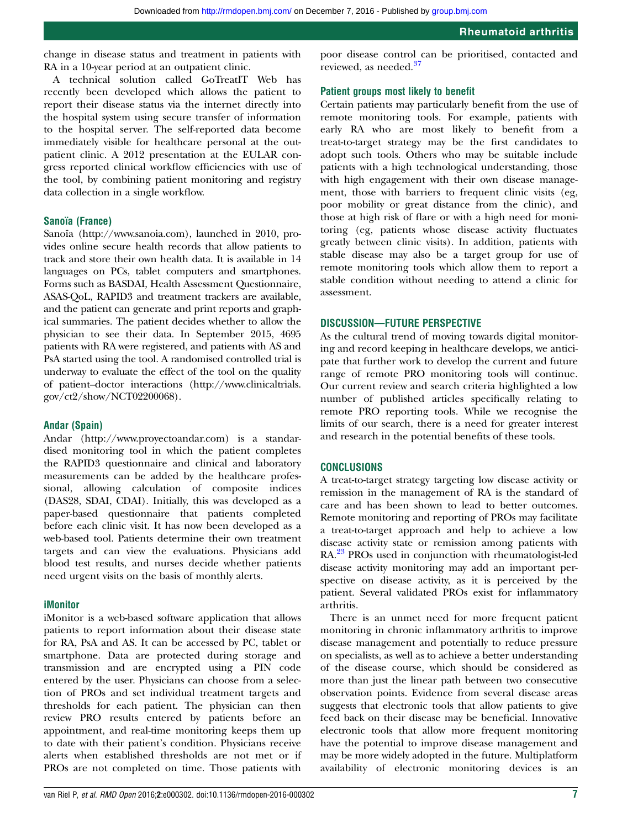change in disease status and treatment in patients with RA in a 10-year period at an outpatient clinic.

A technical solution called GoTreatIT Web has recently been developed which allows the patient to report their disease status via the internet directly into the hospital system using secure transfer of information to the hospital server. The self-reported data become immediately visible for healthcare personal at the outpatient clinic. A 2012 presentation at the EULAR congress reported clinical workflow efficiencies with use of the tool, by combining patient monitoring and registry data collection in a single workflow.

## Sanoïa (France)

Sanoïa ([http://www.sanoia.com\)](http://www.sanoia.com), launched in 2010, provides online secure health records that allow patients to track and store their own health data. It is available in 14 languages on PCs, tablet computers and smartphones. Forms such as BASDAI, Health Assessment Questionnaire, ASAS-QoL, RAPID3 and treatment trackers are available, and the patient can generate and print reports and graphical summaries. The patient decides whether to allow the physician to see their data. In September 2015, 4695 patients with RA were registered, and patients with AS and PsA started using the tool. A randomised controlled trial is underway to evaluate the effect of the tool on the quality of patient–doctor interactions [\(http://www.clinicaltrials.](http://www.clinicaltrials.gov/ct2/show/NCT02200068) [gov/ct2/show/NCT02200068\)](http://www.clinicaltrials.gov/ct2/show/NCT02200068).

#### Andar (Spain)

Andar [\(http://www.proyectoandar.com](http://www.proyectoandar.com)) is a standardised monitoring tool in which the patient completes the RAPID3 questionnaire and clinical and laboratory measurements can be added by the healthcare professional, allowing calculation of composite indices (DAS28, SDAI, CDAI). Initially, this was developed as a paper-based questionnaire that patients completed before each clinic visit. It has now been developed as a web-based tool. Patients determine their own treatment targets and can view the evaluations. Physicians add blood test results, and nurses decide whether patients need urgent visits on the basis of monthly alerts.

## iMonitor

iMonitor is a web-based software application that allows patients to report information about their disease state for RA, PsA and AS. It can be accessed by PC, tablet or smartphone. Data are protected during storage and transmission and are encrypted using a PIN code entered by the user. Physicians can choose from a selection of PROs and set individual treatment targets and thresholds for each patient. The physician can then review PRO results entered by patients before an appointment, and real-time monitoring keeps them up to date with their patient's condition. Physicians receive alerts when established thresholds are not met or if PROs are not completed on time. Those patients with poor disease control can be prioritised, contacted and reviewed, as needed.<sup>[37](#page-8-0)</sup>

## Patient groups most likely to benefit

Certain patients may particularly benefit from the use of remote monitoring tools. For example, patients with early RA who are most likely to benefit from a treat-to-target strategy may be the first candidates to adopt such tools. Others who may be suitable include patients with a high technological understanding, those with high engagement with their own disease management, those with barriers to frequent clinic visits (eg, poor mobility or great distance from the clinic), and those at high risk of flare or with a high need for monitoring (eg, patients whose disease activity fluctuates greatly between clinic visits). In addition, patients with stable disease may also be a target group for use of remote monitoring tools which allow them to report a stable condition without needing to attend a clinic for assessment.

## DISCUSSION—FUTURE PERSPECTIVE

As the cultural trend of moving towards digital monitoring and record keeping in healthcare develops, we anticipate that further work to develop the current and future range of remote PRO monitoring tools will continue. Our current review and search criteria highlighted a low number of published articles specifically relating to remote PRO reporting tools. While we recognise the limits of our search, there is a need for greater interest and research in the potential benefits of these tools.

#### **CONCLUSIONS**

A treat-to-target strategy targeting low disease activity or remission in the management of RA is the standard of care and has been shown to lead to better outcomes. Remote monitoring and reporting of PROs may facilitate a treat-to-target approach and help to achieve a low disease activity state or remission among patients with RA.<sup>[23](#page-7-0)</sup> PROs used in conjunction with rheumatologist-led disease activity monitoring may add an important perspective on disease activity, as it is perceived by the patient. Several validated PROs exist for inflammatory arthritis.

There is an unmet need for more frequent patient monitoring in chronic inflammatory arthritis to improve disease management and potentially to reduce pressure on specialists, as well as to achieve a better understanding of the disease course, which should be considered as more than just the linear path between two consecutive observation points. Evidence from several disease areas suggests that electronic tools that allow patients to give feed back on their disease may be beneficial. Innovative electronic tools that allow more frequent monitoring have the potential to improve disease management and may be more widely adopted in the future. Multiplatform availability of electronic monitoring devices is an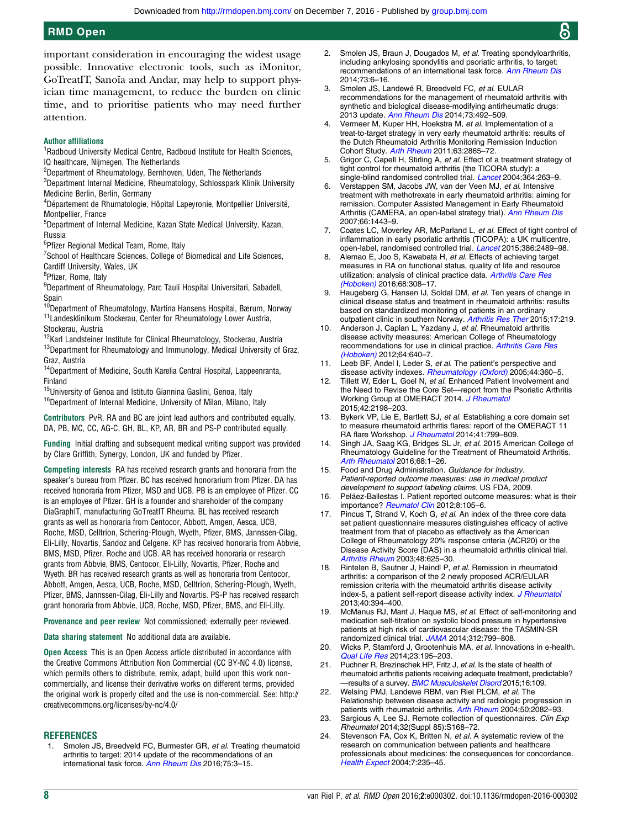<span id="page-7-0"></span>important consideration in encouraging the widest usage possible. Innovative electronic tools, such as iMonitor, GoTreatIT, Sanoïa and Andar, may help to support physician time management, to reduce the burden on clinic time, and to prioritise patients who may need further attention.

#### Author affiliations

<sup>1</sup> Radboud University Medical Centre, Radboud Institute for Health Sciences, IQ healthcare, Nijmegen, The Netherlands

2 Department of Rheumatology, Bernhoven, Uden, The Netherlands

 $^3$ Department Internal Medicine, Rheumatology, Schlosspark Klinik University Medicine Berlin, Berlin, Germany

4 Département de Rhumatologie, Hôpital Lapeyronie, Montpellier Université, Montpellier, France

<sup>5</sup>Department of Internal Medicine, Kazan State Medical University, Kazan, Russia

6 Pfizer Regional Medical Team, Rome, Italy

<sup>7</sup>School of Healthcare Sciences, College of Biomedical and Life Sciences, Cardiff University, Wales, UK

<sup>8</sup>Pfizer, Rome, Italy

<sup>9</sup>Department of Rheumatology, Parc Taulí Hospital Universitari, Sabadell, Spain

<sup>10</sup>Department of Rheumatology, Martina Hansens Hospital, Bærum, Norway 11Landesklinikum Stockerau, Center for Rheumatology Lower Austria, Stockerau, Austria

<sup>12</sup>Karl Landsteiner Institute for Clinical Rheumatology, Stockerau, Austria <sup>13</sup>Department for Rheumatology and Immunology, Medical University of Graz, Graz, Austria

14Department of Medicine, South Karelia Central Hospital, Lappeenranta, Finland

15University of Genoa and Istituto Giannina Gaslini, Genoa, Italy

<sup>16</sup>Department of Internal Medicine, University of Milan, Milano, Italy

Contributors PvR, RA and BC are joint lead authors and contributed equally. DA, PB, MC, CC, AG-C, GH, BL, KP, AR, BR and PS-P contributed equally.

Funding Initial drafting and subsequent medical writing support was provided by Clare Griffith, Synergy, London, UK and funded by Pfizer.

Competing interests RA has received research grants and honoraria from the speaker's bureau from Pfizer. BC has received honorarium from Pfizer. DA has received honoraria from Pfizer, MSD and UCB. PB is an employee of Pfizer. CC is an employee of Pfizer. GH is a founder and shareholder of the company DiaGraphIT, manufacturing GoTreatIT Rheuma. BL has received research grants as well as honoraria from Centocor, Abbott, Amgen, Aesca, UCB, Roche, MSD, Celltrion, Schering-Plough, Wyeth, Pfizer, BMS, Jannssen-Cilag, Eli-Lilly, Novartis, Sandoz and Celgene. KP has received honoraria from Abbvie, BMS, MSD, Pfizer, Roche and UCB. AR has received honoraria or research grants from Abbvie, BMS, Centocor, Eli-Lilly, Novartis, Pfizer, Roche and Wyeth. BR has received research grants as well as honoraria from Centocor, Abbott, Amgen, Aesca, UCB, Roche, MSD, Celltrion, Schering-Plough, Wyeth, Pfizer, BMS, Jannssen-Cilag, Eli-Lilly and Novartis. PS-P has received research grant honoraria from Abbvie, UCB, Roche, MSD, Pfizer, BMS, and Eli-Lilly.

Provenance and peer review Not commissioned; externally peer reviewed.

Data sharing statement No additional data are available.

Open Access This is an Open Access article distributed in accordance with the Creative Commons Attribution Non Commercial (CC BY-NC 4.0) license, which permits others to distribute, remix, adapt, build upon this work noncommercially, and license their derivative works on different terms, provided the original work is properly cited and the use is non-commercial. See: [http://](http://creativecommons.org/licenses/by-nc/4.0/) [creativecommons.org/licenses/by-nc/4.0/](http://creativecommons.org/licenses/by-nc/4.0/)

#### REFERENCES

Smolen JS, Breedveld FC, Burmester GR, et al. Treating rheumatoid arthritis to target: 2014 update of the recommendations of an international task force. [Ann Rheum Dis](http://dx.doi.org/10.1136/annrheumdis-2015-207524) 2016;75:3-15.

- 2. Smolen JS, Braun J, Dougados M, et al. Treating spondyloarthritis, including ankylosing spondylitis and psoriatic arthritis, to target: recommendations of an international task force. [Ann Rheum Dis](http://dx.doi.org/10.1136/annrheumdis-2013-203419) 2014;73:6–16.
- 3. Smolen JS, Landewé R, Breedveld FC, et al. EULAR recommendations for the management of rheumatoid arthritis with synthetic and biological disease-modifying antirheumatic drugs: 2013 update. [Ann Rheum Dis](http://dx.doi.org/10.1136/annrheumdis-2013-204573) 2014;73:492–509.
- 4. Vermeer M, Kuper HH, Hoekstra M, et al. Implementation of a treat-to-target strategy in very early rheumatoid arthritis: results of the Dutch Rheumatoid Arthritis Monitoring Remission Induction Cohort Study. [Arth Rheum](http://dx.doi.org/10.1002/art.30494) 2011;63:2865–72.
- Grigor C, Capell H, Stirling A, et al. Effect of a treatment strategy of tight control for rheumatoid arthritis (the TICORA study): a single-blind randomised controlled trial. *[Lancet](http://dx.doi.org/10.1016/S0140-6736(04)16676-2)* 2004:364:263-9.
- 6. Verstappen SM, Jacobs JW, van der Veen MJ, et al. Intensive treatment with methotrexate in early rheumatoid arthritis: aiming for remission. Computer Assisted Management in Early Rheumatoid Arthritis (CAMERA, an open-label strategy trial). [Ann Rheum Dis](http://dx.doi.org/10.1136/ard.2007.071092) 2007;66:1443–9.
- 7. Coates LC, Moverley AR, McParland L, et al. Effect of tight control of inflammation in early psoriatic arthritis (TICOPA): a UK multicentre, open-label, randomised controlled trial. [Lancet](http://dx.doi.org/10.1016/S0140-6736(15)00347-5) 2015;386:2489–98.
- 8. Alemao E, Joo S, Kawabata H, et al. Effects of achieving target measures in RA on functional status, quality of life and resource utilization: analysis of clinical practice data. [Arthritis Care Res](http://dx.doi.org/10.1002/acr.22678) [\(Hoboken\)](http://dx.doi.org/10.1002/acr.22678) 2016;68:308–17.
- Haugeberg G, Hansen IJ, Soldal DM, et al. Ten years of change in clinical disease status and treatment in rheumatoid arthritis: results based on standardized monitoring of patients in an ordinary outpatient clinic in southern Norway. [Arthritis Res Ther](http://dx.doi.org/10.1186/s13075-015-0716-0) 2015;17:219.
- 10. Anderson J, Caplan L, Yazdany J, et al. Rheumatoid arthritis disease activity measures: American College of Rheumatology recommendations for use in clinical practice. [Arthritis Care Res](http://dx.doi.org/10.1002/acr.21649) [\(Hoboken\)](http://dx.doi.org/10.1002/acr.21649) 2012;64:640–7.
- 11. Leeb BF, Andel I, Leder S, et al. The patient's perspective and disease activity indexes. [Rheumatology \(Oxford\)](http://dx.doi.org/10.1093/rheumatology/keh484) 2005;44:360-5.
- 12. Tillett W, Eder L, Goel N, et al. Enhanced Patient Involvement and the Need to Revise the Core Set—report from the Psoriatic Arthritis Working Group at OMERACT 2014. [J Rheumatol](http://dx.doi.org/10.3899/jrheum.141156) 2015;42:2198–203.
- 13. Bykerk VP, Lie E, Bartlett SJ, et al. Establishing a core domain set to measure rheumatoid arthritis flares: report of the OMERACT 11 RA flare Workshop. [J Rheumatol](http://dx.doi.org/10.3899/jrheum.131252) 2014;41:799-809.
- 14. Singh JA, Saag KG, Bridges SL Jr, et al. 2015 American College of Rheumatology Guideline for the Treatment of Rheumatoid Arthritis. [Arth Rheumatol](http://dx.doi.org/10.1002/art.39480) 2016;68:1–26.
- 15. Food and Drug Administration. Guidance for Industry. Patient-reported outcome measures: use in medical product development to support labeling claims. US FDA, 2009.
- 16. Peláez-Ballestas I. Patient reported outcome measures: what is their importance? [Reumatol Clin](http://dx.doi.org/10.1016/j.reuma.2011.11.001) 2012;8:105-6.
- 17. Pincus T, Strand V, Koch G, et al. An index of the three core data set patient questionnaire measures distinguishes efficacy of active treatment from that of placebo as effectively as the American College of Rheumatology 20% response criteria (ACR20) or the Disease Activity Score (DAS) in a rheumatoid arthritis clinical trial. [Arthritis Rheum](http://dx.doi.org/10.1002/art.10824) 2003;48:625-30.
- Rintelen B, Sautner J, Haindl P, et al. Remission in rheumatoid arthritis: a comparison of the 2 newly proposed ACR/EULAR remission criteria with the rheumatoid arthritis disease activity index-5, a patient self-report disease activity index. [J Rheumatol](http://dx.doi.org/10.3899/jrheum.120952) 2013;40:394–400.
- 19. McManus RJ, Mant J, Haque MS, et al. Effect of self-monitoring and medication self-titration on systolic blood pressure in hypertensive patients at high risk of cardiovascular disease: the TASMIN-SR randomized clinical trial. [JAMA](http://dx.doi.org/10.1001/jama.2014.10057) 2014;312:799–808.
- 20. Wicks P, Stamford J, Grootenhuis MA, et al. Innovations in e-health. [Qual Life Res](http://dx.doi.org/10.1007/s11136-013-0458-x) 2014;23:195–203.
- 21. Puchner R, Brezinschek HP, Fritz J, et al. Is the state of health of rheumatoid arthritis patients receiving adequate treatment, predictable? -results of a survey. **[BMC Musculoskelet Disord](http://dx.doi.org/10.1186/s12891-015-0567-5)** 2015;16:109.
- 22. Welsing PMJ, Landewe RBM, van Riel PLCM, et al. The Relationship between disease activity and radiologic progression in patients with rheumatoid arthritis. [Arth Rheum](http://dx.doi.org/10.1002/art.20350) 2004;50;2082–93.
- 23. Sargious A, Lee SJ. Remote collection of questionnaires. Clin Exp Rheumatol 2014;32(Suppl 85):S168–72.
- 24. Stevenson FA, Cox K, Britten N, et al. A systematic review of the research on communication between patients and healthcare professionals about medicines: the consequences for concordance. [Health Expect](http://dx.doi.org/10.1111/j.1369-7625.2004.00281.x) 2004;7:235–45.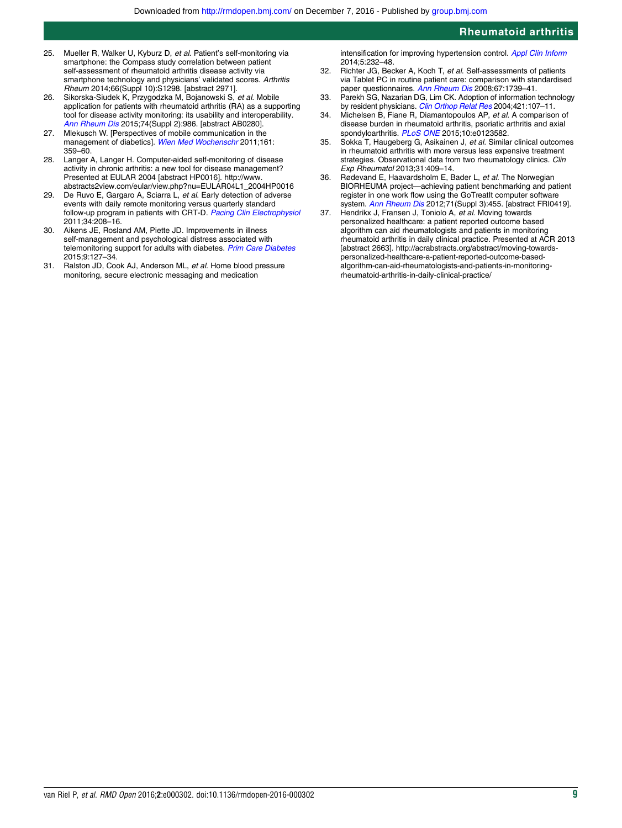- <span id="page-8-0"></span>25. Mueller R, Walker U, Kyburz D, et al. Patient's self-monitoring via smartphone: the Compass study correlation between patient self-assessment of rheumatoid arthritis disease activity via smartphone technology and physicians' validated scores. Arthritis Rheum 2014;66(Suppl 10):S1298. [abstract 2971].
- 26. Sikorska-Siudek K, Przygodzka M, Bojanowski S, et al. Mobile application for patients with rheumatoid arthritis (RA) as a supporting tool for disease activity monitoring: its usability and interoperability. [Ann Rheum Dis](http://dx.doi.org/10.1136/annrheumdis-2015-eular.1158) 2015;74(Suppl 2):986. [abstract AB0280].
- 27. Mlekusch W. [Perspectives of mobile communication in the management of diabetics]. [Wien Med Wochenschr](http://dx.doi.org/10.1007/s10354-011-0012-9) 2011;161: 359–60.
- 28. Langer A, Langer H. Computer-aided self-monitoring of disease activity in chronic arthritis: a new tool for disease management? Presented at EULAR 2004 [abstract HP0016]. [http://www.](http://www.abstracts2view.com/eular/view.php?nu=EULAR04L1_2004HP0016) [abstracts2view.com/eular/view.php?nu=EULAR04L1\\_2004HP0016](http://www.abstracts2view.com/eular/view.php?nu=EULAR04L1_2004HP0016)
- 29. De Ruvo E, Gargaro A, Sciarra L, et al. Early detection of adverse events with daily remote monitoring versus quarterly standard follow-up program in patients with CRT-D. [Pacing Clin Electrophysiol](http://dx.doi.org/10.1111/j.1540-8159.2010.02932.x) 2011;34:208–16.
- 30. Aikens JE, Rosland AM, Piette JD. Improvements in illness self-management and psychological distress associated with telemonitoring support for adults with diabetes. [Prim Care Diabetes](http://dx.doi.org/10.1016/j.pcd.2014.06.003) 2015;9:127–34.
- 31. Ralston JD, Cook AJ, Anderson ML, et al. Home blood pressure monitoring, secure electronic messaging and medication
- intensification for improving hypertension control. [Appl Clin Inform](http://dx.doi.org/10.4338/ACI-2013-10-RA-0079) 2014;5:232–48.
- 32. Richter JG, Becker A, Koch T, et al. Self-assessments of patients via Tablet PC in routine patient care: comparison with standardised paper questionnaires. [Ann Rheum Dis](http://dx.doi.org/10.1136/ard.2008.090209) 2008;67:1739–41.
- 33. Parekh SG, Nazarian DG, Lim CK. Adoption of information technology by resident physicians. [Clin Orthop Relat Res](http://dx.doi.org/10.1097/01.blo.0000126865.22310.59) 2004;421:107-11.
- 34. Michelsen B, Fiane R, Diamantopoulos AP, et al. A comparison of disease burden in rheumatoid arthritis, psoriatic arthritis and axial spondyloarthritis. [PLoS ONE](http://dx.doi.org/10.1371/journal.pone.0123582) 2015;10:e0123582.
- 35. Sokka T, Haugeberg G, Asikainen J, et al. Similar clinical outcomes in rheumatoid arthritis with more versus less expensive treatment strategies. Observational data from two rheumatology clinics. Clin Exp Rheumatol 2013;31:409–14.
- 36. Rødevand E, Haavardsholm E, Bader L, et al. The Norwegian BIORHEUMA project—achieving patient benchmarking and patient register in one work flow using the GoTreatIt computer software system. [Ann Rheum Dis](http://dx.doi.org/10.1136/annrheumdis-2011-200372) 2012;71(Suppl 3):455. [abstract FRI0419].
- 37. Hendrikx J, Fransen J, Toniolo A, et al. Moving towards personalized healthcare: a patient reported outcome based algorithm can aid rheumatologists and patients in monitoring rheumatoid arthritis in daily clinical practice. Presented at ACR 2013 [abstract 2663]. [http://acrabstracts.org/abstract/moving-towards](http://acrabstracts.org/abstract/moving-towards-personalized-healthcare-a-patient-reported-outcome-based-algorithm-can-aid-rheumatologists-and-patients-in-monitoring-rheumatoid-arthritis-in-daily-clinical-practice/)[personalized-healthcare-a-patient-reported-outcome-based](http://acrabstracts.org/abstract/moving-towards-personalized-healthcare-a-patient-reported-outcome-based-algorithm-can-aid-rheumatologists-and-patients-in-monitoring-rheumatoid-arthritis-in-daily-clinical-practice/)[algorithm-can-aid-rheumatologists-and-patients-in-monitoring](http://acrabstracts.org/abstract/moving-towards-personalized-healthcare-a-patient-reported-outcome-based-algorithm-can-aid-rheumatologists-and-patients-in-monitoring-rheumatoid-arthritis-in-daily-clinical-practice/)[rheumatoid-arthritis-in-daily-clinical-practice/](http://acrabstracts.org/abstract/moving-towards-personalized-healthcare-a-patient-reported-outcome-based-algorithm-can-aid-rheumatologists-and-patients-in-monitoring-rheumatoid-arthritis-in-daily-clinical-practice/)